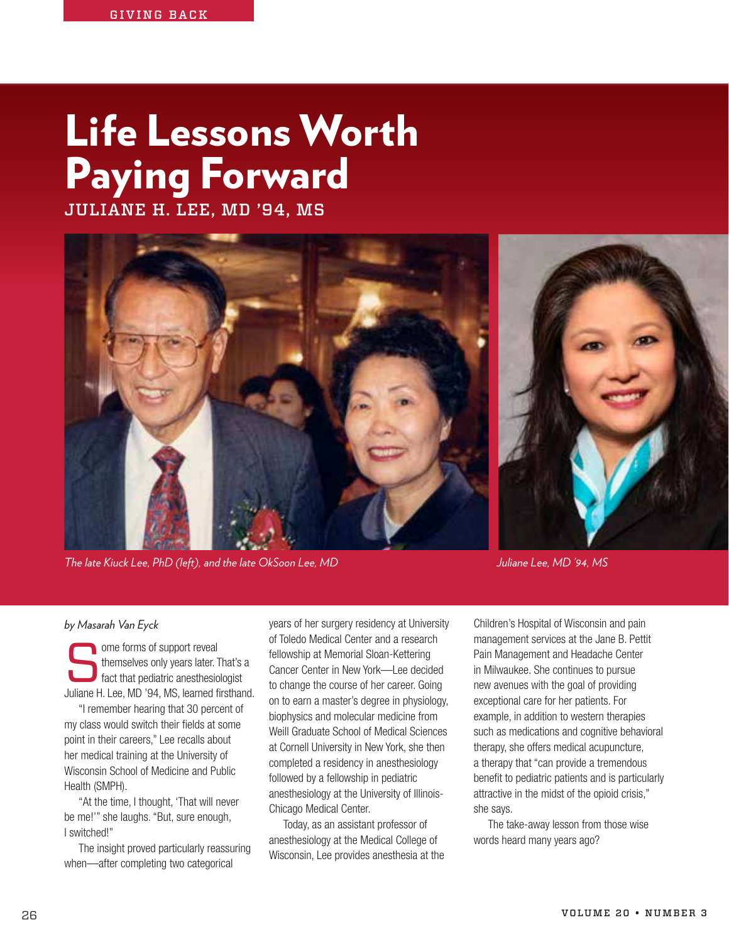## Life Lessons Worth Paying Forward

JULIANE H. LEE, MD '94, MS



*The late Kiuck Lee, PhD (left), and the late OkSoon Lee, MD Juliane Lee, MD '94, MS* 

## *by Masarah Van Eyck*

ome forms of support reveal<br>themselves only years later. T<br>fact that pediatric anesthesio<br>luliane H Lee MD '94 MS learned fi themselves only years later. That's a fact that pediatric anesthesiologist Juliane H. Lee, MD '94, MS, learned firsthand.

"I remember hearing that 30 percent of my class would switch their fields at some point in their careers," Lee recalls about her medical training at the University of Wisconsin School of Medicine and Public Health (SMPH).

"At the time, I thought, 'That will never be me!'" she laughs. "But, sure enough, I switched!"

The insight proved particularly reassuring when—after completing two categorical

years of her surgery residency at University of Toledo Medical Center and a research fellowship at Memorial Sloan-Kettering Cancer Center in New York—Lee decided to change the course of her career. Going on to earn a master's degree in physiology, biophysics and molecular medicine from Weill Graduate School of Medical Sciences at Cornell University in New York, she then completed a residency in anesthesiology followed by a fellowship in pediatric anesthesiology at the University of Illinois-Chicago Medical Center.

Today, as an assistant professor of anesthesiology at the Medical College of Wisconsin, Lee provides anesthesia at the Children's Hospital of Wisconsin and pain management services at the Jane B. Pettit Pain Management and Headache Center in Milwaukee. She continues to pursue new avenues with the goal of providing exceptional care for her patients. For example, in addition to western therapies such as medications and cognitive behavioral therapy, she offers medical acupuncture, a therapy that "can provide a tremendous benefit to pediatric patients and is particularly attractive in the midst of the opioid crisis," she says.

The take-away lesson from those wise words heard many years ago?